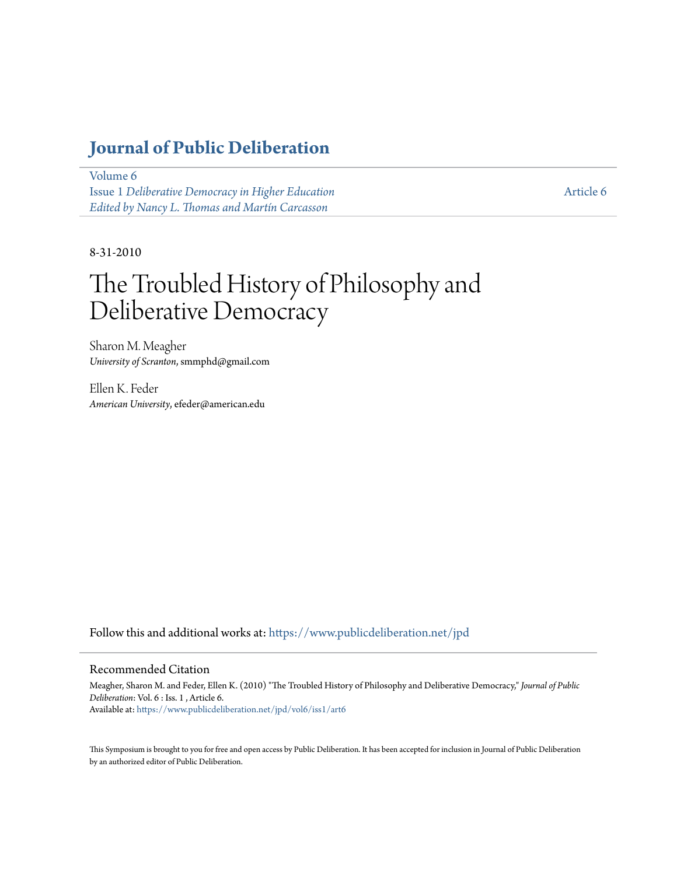## **[Journal of Public Deliberation](https://www.publicdeliberation.net/jpd?utm_source=www.publicdeliberation.net%2Fjpd%2Fvol6%2Fiss1%2Fart6&utm_medium=PDF&utm_campaign=PDFCoverPages)**

[Volume 6](https://www.publicdeliberation.net/jpd/vol6?utm_source=www.publicdeliberation.net%2Fjpd%2Fvol6%2Fiss1%2Fart6&utm_medium=PDF&utm_campaign=PDFCoverPages) Issue 1 *[Deliberative Democracy in Higher Education](https://www.publicdeliberation.net/jpd/vol6/iss1?utm_source=www.publicdeliberation.net%2Fjpd%2Fvol6%2Fiss1%2Fart6&utm_medium=PDF&utm_campaign=PDFCoverPages) [Edited by Nancy L. Thomas and Martín Carcasson](https://www.publicdeliberation.net/jpd/vol6/iss1?utm_source=www.publicdeliberation.net%2Fjpd%2Fvol6%2Fiss1%2Fart6&utm_medium=PDF&utm_campaign=PDFCoverPages)*

[Article 6](https://www.publicdeliberation.net/jpd/vol6/iss1/art6?utm_source=www.publicdeliberation.net%2Fjpd%2Fvol6%2Fiss1%2Fart6&utm_medium=PDF&utm_campaign=PDFCoverPages)

8-31-2010

# The Troubled History of Philosophy and Deliberative Democracy

Sharon M. Meagher *University of Scranton*, smmphd@gmail.com

Ellen K. Feder *American University*, efeder@american.edu

Follow this and additional works at: [https://www.publicdeliberation.net/jpd](https://www.publicdeliberation.net/jpd?utm_source=www.publicdeliberation.net%2Fjpd%2Fvol6%2Fiss1%2Fart6&utm_medium=PDF&utm_campaign=PDFCoverPages)

#### Recommended Citation

Meagher, Sharon M. and Feder, Ellen K. (2010) "The Troubled History of Philosophy and Deliberative Democracy," *Journal of Public Deliberation*: Vol. 6 : Iss. 1 , Article 6. Available at: [https://www.publicdeliberation.net/jpd/vol6/iss1/art6](https://www.publicdeliberation.net/jpd/vol6/iss1/art6?utm_source=www.publicdeliberation.net%2Fjpd%2Fvol6%2Fiss1%2Fart6&utm_medium=PDF&utm_campaign=PDFCoverPages)

This Symposium is brought to you for free and open access by Public Deliberation. It has been accepted for inclusion in Journal of Public Deliberation by an authorized editor of Public Deliberation.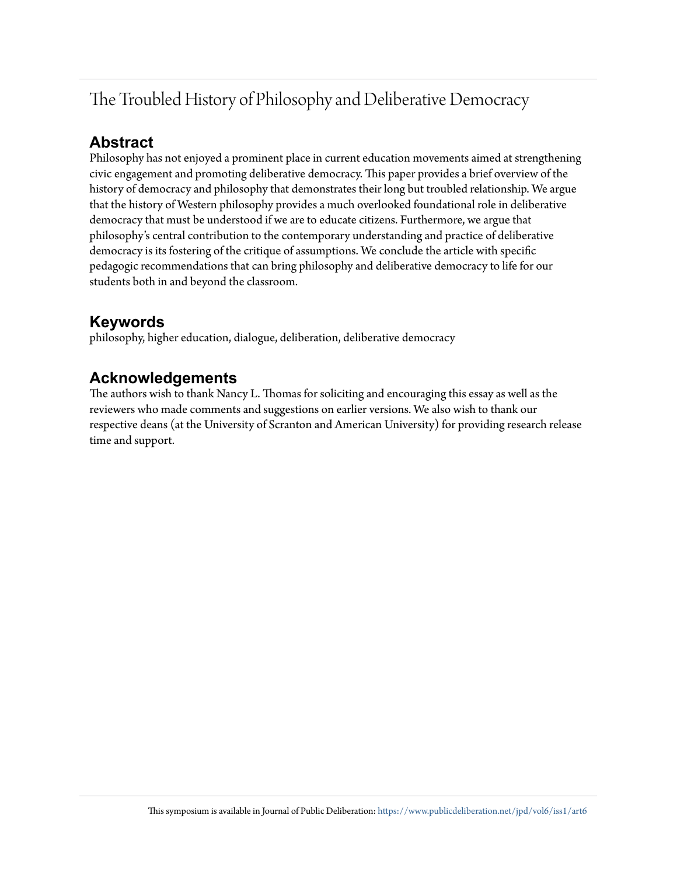## The Troubled History of Philosophy and Deliberative Democracy

### **Abstract**

Philosophy has not enjoyed a prominent place in current education movements aimed at strengthening civic engagement and promoting deliberative democracy. This paper provides a brief overview of the history of democracy and philosophy that demonstrates their long but troubled relationship. We argue that the history of Western philosophy provides a much overlooked foundational role in deliberative democracy that must be understood if we are to educate citizens. Furthermore, we argue that philosophy's central contribution to the contemporary understanding and practice of deliberative democracy is its fostering of the critique of assumptions. We conclude the article with specific pedagogic recommendations that can bring philosophy and deliberative democracy to life for our students both in and beyond the classroom.

## **Keywords**

philosophy, higher education, dialogue, deliberation, deliberative democracy

## **Acknowledgements**

The authors wish to thank Nancy L. Thomas for soliciting and encouraging this essay as well as the reviewers who made comments and suggestions on earlier versions. We also wish to thank our respective deans (at the University of Scranton and American University) for providing research release time and support.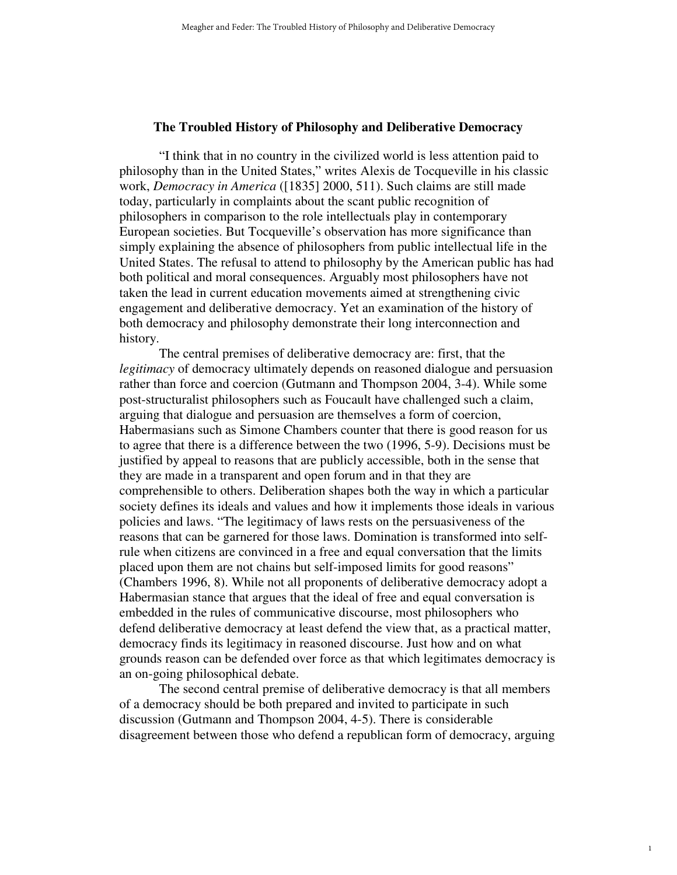#### **The Troubled History of Philosophy and Deliberative Democracy**

"I think that in no country in the civilized world is less attention paid to philosophy than in the United States," writes Alexis de Tocqueville in his classic work, *Democracy in America* ([1835] 2000, 511). Such claims are still made today, particularly in complaints about the scant public recognition of philosophers in comparison to the role intellectuals play in contemporary European societies. But Tocqueville's observation has more significance than simply explaining the absence of philosophers from public intellectual life in the United States. The refusal to attend to philosophy by the American public has had both political and moral consequences. Arguably most philosophers have not taken the lead in current education movements aimed at strengthening civic engagement and deliberative democracy. Yet an examination of the history of both democracy and philosophy demonstrate their long interconnection and history.

The central premises of deliberative democracy are: first, that the *legitimacy* of democracy ultimately depends on reasoned dialogue and persuasion rather than force and coercion (Gutmann and Thompson 2004, 3-4). While some post-structuralist philosophers such as Foucault have challenged such a claim, arguing that dialogue and persuasion are themselves a form of coercion, Habermasians such as Simone Chambers counter that there is good reason for us to agree that there is a difference between the two (1996, 5-9). Decisions must be justified by appeal to reasons that are publicly accessible, both in the sense that they are made in a transparent and open forum and in that they are comprehensible to others. Deliberation shapes both the way in which a particular society defines its ideals and values and how it implements those ideals in various policies and laws. "The legitimacy of laws rests on the persuasiveness of the reasons that can be garnered for those laws. Domination is transformed into selfrule when citizens are convinced in a free and equal conversation that the limits placed upon them are not chains but self-imposed limits for good reasons" (Chambers 1996, 8). While not all proponents of deliberative democracy adopt a Habermasian stance that argues that the ideal of free and equal conversation is embedded in the rules of communicative discourse, most philosophers who defend deliberative democracy at least defend the view that, as a practical matter, democracy finds its legitimacy in reasoned discourse. Just how and on what grounds reason can be defended over force as that which legitimates democracy is an on-going philosophical debate.

The second central premise of deliberative democracy is that all members of a democracy should be both prepared and invited to participate in such discussion (Gutmann and Thompson 2004, 4-5). There is considerable disagreement between those who defend a republican form of democracy, arguing

1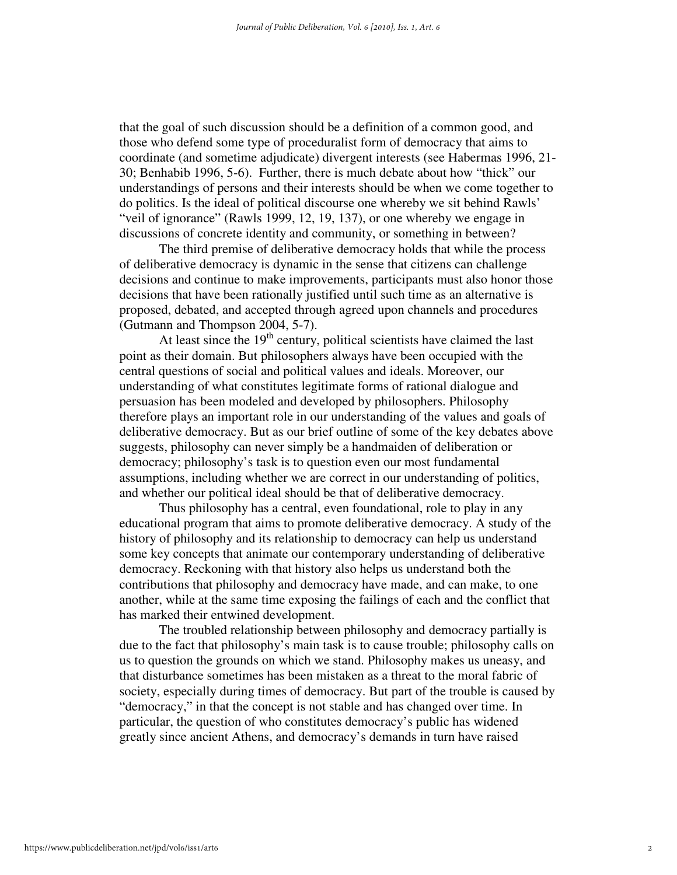that the goal of such discussion should be a definition of a common good, and those who defend some type of proceduralist form of democracy that aims to coordinate (and sometime adjudicate) divergent interests (see Habermas 1996, 21- 30; Benhabib 1996, 5-6). Further, there is much debate about how "thick" our understandings of persons and their interests should be when we come together to do politics. Is the ideal of political discourse one whereby we sit behind Rawls' "veil of ignorance" (Rawls 1999, 12, 19, 137), or one whereby we engage in discussions of concrete identity and community, or something in between?

The third premise of deliberative democracy holds that while the process of deliberative democracy is dynamic in the sense that citizens can challenge decisions and continue to make improvements, participants must also honor those decisions that have been rationally justified until such time as an alternative is proposed, debated, and accepted through agreed upon channels and procedures (Gutmann and Thompson 2004, 5-7).

At least since the  $19<sup>th</sup>$  century, political scientists have claimed the last point as their domain. But philosophers always have been occupied with the central questions of social and political values and ideals. Moreover, our understanding of what constitutes legitimate forms of rational dialogue and persuasion has been modeled and developed by philosophers. Philosophy therefore plays an important role in our understanding of the values and goals of deliberative democracy. But as our brief outline of some of the key debates above suggests, philosophy can never simply be a handmaiden of deliberation or democracy; philosophy's task is to question even our most fundamental assumptions, including whether we are correct in our understanding of politics, and whether our political ideal should be that of deliberative democracy.

Thus philosophy has a central, even foundational, role to play in any educational program that aims to promote deliberative democracy. A study of the history of philosophy and its relationship to democracy can help us understand some key concepts that animate our contemporary understanding of deliberative democracy. Reckoning with that history also helps us understand both the contributions that philosophy and democracy have made, and can make, to one another, while at the same time exposing the failings of each and the conflict that has marked their entwined development.

The troubled relationship between philosophy and democracy partially is due to the fact that philosophy's main task is to cause trouble; philosophy calls on us to question the grounds on which we stand. Philosophy makes us uneasy, and that disturbance sometimes has been mistaken as a threat to the moral fabric of society, especially during times of democracy. But part of the trouble is caused by "democracy," in that the concept is not stable and has changed over time. In particular, the question of who constitutes democracy's public has widened greatly since ancient Athens, and democracy's demands in turn have raised

2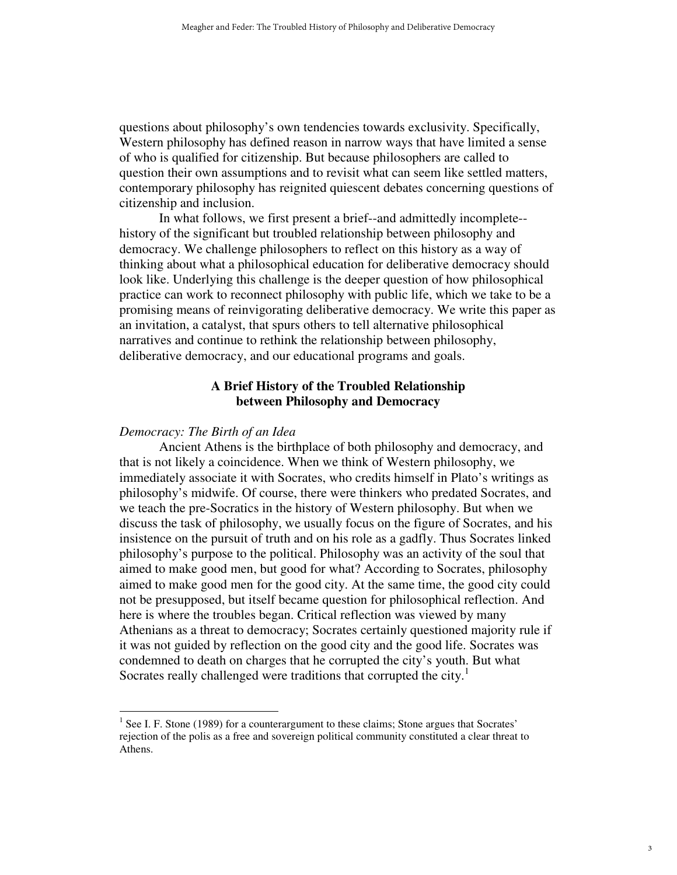questions about philosophy's own tendencies towards exclusivity. Specifically, Western philosophy has defined reason in narrow ways that have limited a sense of who is qualified for citizenship. But because philosophers are called to question their own assumptions and to revisit what can seem like settled matters, contemporary philosophy has reignited quiescent debates concerning questions of citizenship and inclusion.

In what follows, we first present a brief--and admittedly incomplete- history of the significant but troubled relationship between philosophy and democracy. We challenge philosophers to reflect on this history as a way of thinking about what a philosophical education for deliberative democracy should look like. Underlying this challenge is the deeper question of how philosophical practice can work to reconnect philosophy with public life, which we take to be a promising means of reinvigorating deliberative democracy. We write this paper as an invitation, a catalyst, that spurs others to tell alternative philosophical narratives and continue to rethink the relationship between philosophy, deliberative democracy, and our educational programs and goals.

#### **A Brief History of the Troubled Relationship between Philosophy and Democracy**

#### *Democracy: The Birth of an Idea*

l

 Ancient Athens is the birthplace of both philosophy and democracy, and that is not likely a coincidence. When we think of Western philosophy, we immediately associate it with Socrates, who credits himself in Plato's writings as philosophy's midwife. Of course, there were thinkers who predated Socrates, and we teach the pre-Socratics in the history of Western philosophy. But when we discuss the task of philosophy, we usually focus on the figure of Socrates, and his insistence on the pursuit of truth and on his role as a gadfly. Thus Socrates linked philosophy's purpose to the political. Philosophy was an activity of the soul that aimed to make good men, but good for what? According to Socrates, philosophy aimed to make good men for the good city. At the same time, the good city could not be presupposed, but itself became question for philosophical reflection. And here is where the troubles began. Critical reflection was viewed by many Athenians as a threat to democracy; Socrates certainly questioned majority rule if it was not guided by reflection on the good city and the good life. Socrates was condemned to death on charges that he corrupted the city's youth. But what Socrates really challenged were traditions that corrupted the city.<sup>1</sup>

 $<sup>1</sup>$  See I. F. Stone (1989) for a counterargument to these claims; Stone argues that Socrates'</sup> rejection of the polis as a free and sovereign political community constituted a clear threat to Athens.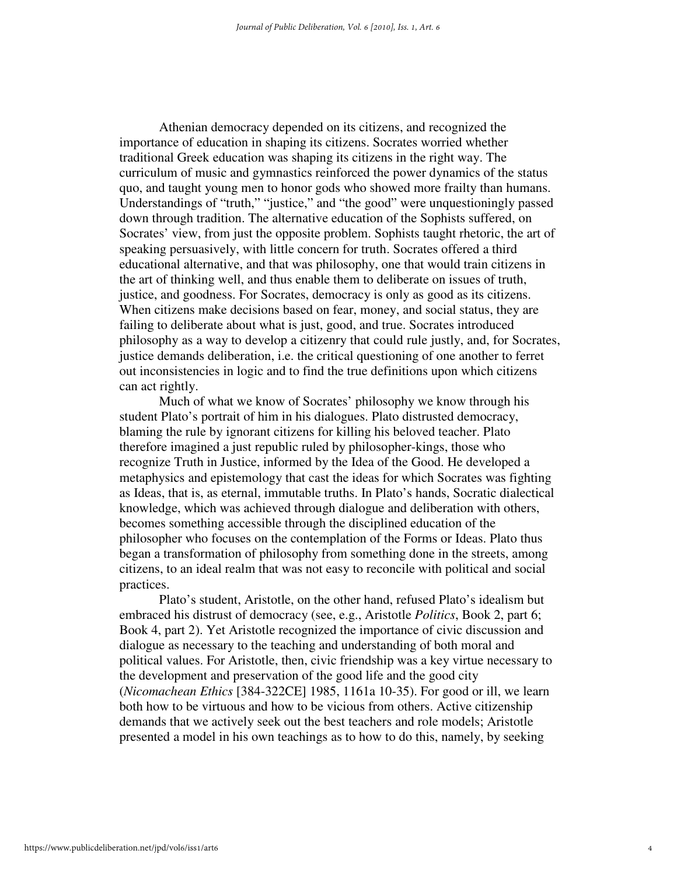Athenian democracy depended on its citizens, and recognized the importance of education in shaping its citizens. Socrates worried whether traditional Greek education was shaping its citizens in the right way. The curriculum of music and gymnastics reinforced the power dynamics of the status quo, and taught young men to honor gods who showed more frailty than humans. Understandings of "truth," "justice," and "the good" were unquestioningly passed down through tradition. The alternative education of the Sophists suffered, on Socrates' view, from just the opposite problem. Sophists taught rhetoric, the art of speaking persuasively, with little concern for truth. Socrates offered a third educational alternative, and that was philosophy, one that would train citizens in the art of thinking well, and thus enable them to deliberate on issues of truth, justice, and goodness. For Socrates, democracy is only as good as its citizens. When citizens make decisions based on fear, money, and social status, they are failing to deliberate about what is just, good, and true. Socrates introduced philosophy as a way to develop a citizenry that could rule justly, and, for Socrates, justice demands deliberation, i.e. the critical questioning of one another to ferret out inconsistencies in logic and to find the true definitions upon which citizens can act rightly.

Much of what we know of Socrates' philosophy we know through his student Plato's portrait of him in his dialogues. Plato distrusted democracy, blaming the rule by ignorant citizens for killing his beloved teacher. Plato therefore imagined a just republic ruled by philosopher-kings, those who recognize Truth in Justice, informed by the Idea of the Good. He developed a metaphysics and epistemology that cast the ideas for which Socrates was fighting as Ideas, that is, as eternal, immutable truths. In Plato's hands, Socratic dialectical knowledge, which was achieved through dialogue and deliberation with others, becomes something accessible through the disciplined education of the philosopher who focuses on the contemplation of the Forms or Ideas. Plato thus began a transformation of philosophy from something done in the streets, among citizens, to an ideal realm that was not easy to reconcile with political and social practices.

Plato's student, Aristotle, on the other hand, refused Plato's idealism but embraced his distrust of democracy (see, e.g., Aristotle *Politics*, Book 2, part 6; Book 4, part 2). Yet Aristotle recognized the importance of civic discussion and dialogue as necessary to the teaching and understanding of both moral and political values. For Aristotle, then, civic friendship was a key virtue necessary to the development and preservation of the good life and the good city (*Nicomachean Ethics* [384-322CE] 1985, 1161a 10-35). For good or ill, we learn both how to be virtuous and how to be vicious from others. Active citizenship demands that we actively seek out the best teachers and role models; Aristotle presented a model in his own teachings as to how to do this, namely, by seeking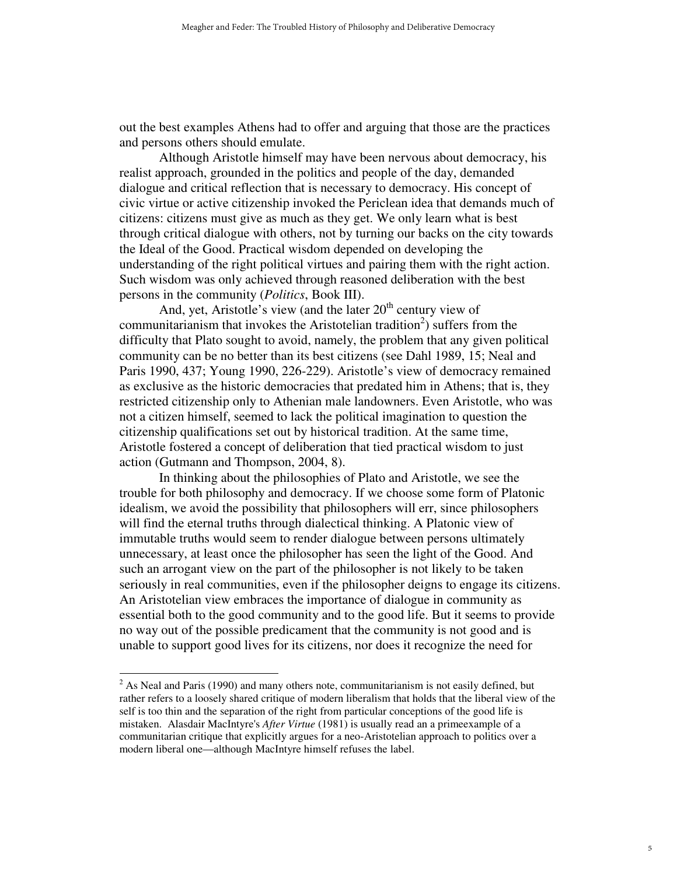out the best examples Athens had to offer and arguing that those are the practices and persons others should emulate.

Although Aristotle himself may have been nervous about democracy, his realist approach, grounded in the politics and people of the day, demanded dialogue and critical reflection that is necessary to democracy. His concept of civic virtue or active citizenship invoked the Periclean idea that demands much of citizens: citizens must give as much as they get. We only learn what is best through critical dialogue with others, not by turning our backs on the city towards the Ideal of the Good. Practical wisdom depended on developing the understanding of the right political virtues and pairing them with the right action. Such wisdom was only achieved through reasoned deliberation with the best persons in the community (*Politics*, Book III).

And, yet, Aristotle's view (and the later  $20<sup>th</sup>$  century view of communitarianism that invokes the Aristotelian tradition<sup>2</sup>) suffers from the difficulty that Plato sought to avoid, namely, the problem that any given political community can be no better than its best citizens (see Dahl 1989, 15; Neal and Paris 1990, 437; Young 1990, 226-229). Aristotle's view of democracy remained as exclusive as the historic democracies that predated him in Athens; that is, they restricted citizenship only to Athenian male landowners. Even Aristotle, who was not a citizen himself, seemed to lack the political imagination to question the citizenship qualifications set out by historical tradition. At the same time, Aristotle fostered a concept of deliberation that tied practical wisdom to just action (Gutmann and Thompson, 2004, 8).

In thinking about the philosophies of Plato and Aristotle, we see the trouble for both philosophy and democracy. If we choose some form of Platonic idealism, we avoid the possibility that philosophers will err, since philosophers will find the eternal truths through dialectical thinking. A Platonic view of immutable truths would seem to render dialogue between persons ultimately unnecessary, at least once the philosopher has seen the light of the Good. And such an arrogant view on the part of the philosopher is not likely to be taken seriously in real communities, even if the philosopher deigns to engage its citizens. An Aristotelian view embraces the importance of dialogue in community as essential both to the good community and to the good life. But it seems to provide no way out of the possible predicament that the community is not good and is unable to support good lives for its citizens, nor does it recognize the need for

l

 $2^{2}$  As Neal and Paris (1990) and many others note, communitarianism is not easily defined, but rather refers to a loosely shared critique of modern liberalism that holds that the liberal view of the self is too thin and the separation of the right from particular conceptions of the good life is mistaken. Alasdair MacIntyre's *After Virtue* (1981) is usually read an a primeexample of a communitarian critique that explicitly argues for a neo-Aristotelian approach to politics over a modern liberal one—although MacIntyre himself refuses the label.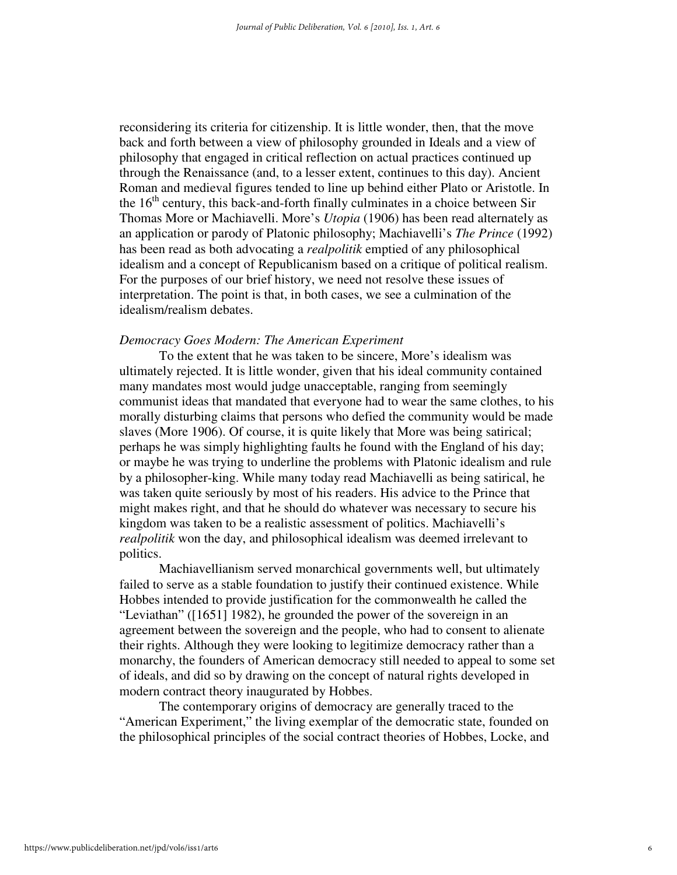reconsidering its criteria for citizenship. It is little wonder, then, that the move back and forth between a view of philosophy grounded in Ideals and a view of philosophy that engaged in critical reflection on actual practices continued up through the Renaissance (and, to a lesser extent, continues to this day). Ancient Roman and medieval figures tended to line up behind either Plato or Aristotle. In the  $16<sup>th</sup>$  century, this back-and-forth finally culminates in a choice between Sir Thomas More or Machiavelli. More's *Utopia* (1906) has been read alternately as an application or parody of Platonic philosophy; Machiavelli's *The Prince* (1992) has been read as both advocating a *realpolitik* emptied of any philosophical idealism and a concept of Republicanism based on a critique of political realism. For the purposes of our brief history, we need not resolve these issues of interpretation. The point is that, in both cases, we see a culmination of the idealism/realism debates.

#### *Democracy Goes Modern: The American Experiment*

To the extent that he was taken to be sincere, More's idealism was ultimately rejected. It is little wonder, given that his ideal community contained many mandates most would judge unacceptable, ranging from seemingly communist ideas that mandated that everyone had to wear the same clothes, to his morally disturbing claims that persons who defied the community would be made slaves (More 1906). Of course, it is quite likely that More was being satirical; perhaps he was simply highlighting faults he found with the England of his day; or maybe he was trying to underline the problems with Platonic idealism and rule by a philosopher-king. While many today read Machiavelli as being satirical, he was taken quite seriously by most of his readers. His advice to the Prince that might makes right, and that he should do whatever was necessary to secure his kingdom was taken to be a realistic assessment of politics. Machiavelli's *realpolitik* won the day, and philosophical idealism was deemed irrelevant to politics.

Machiavellianism served monarchical governments well, but ultimately failed to serve as a stable foundation to justify their continued existence. While Hobbes intended to provide justification for the commonwealth he called the "Leviathan" ([1651] 1982), he grounded the power of the sovereign in an agreement between the sovereign and the people, who had to consent to alienate their rights. Although they were looking to legitimize democracy rather than a monarchy, the founders of American democracy still needed to appeal to some set of ideals, and did so by drawing on the concept of natural rights developed in modern contract theory inaugurated by Hobbes.

The contemporary origins of democracy are generally traced to the "American Experiment," the living exemplar of the democratic state, founded on the philosophical principles of the social contract theories of Hobbes, Locke, and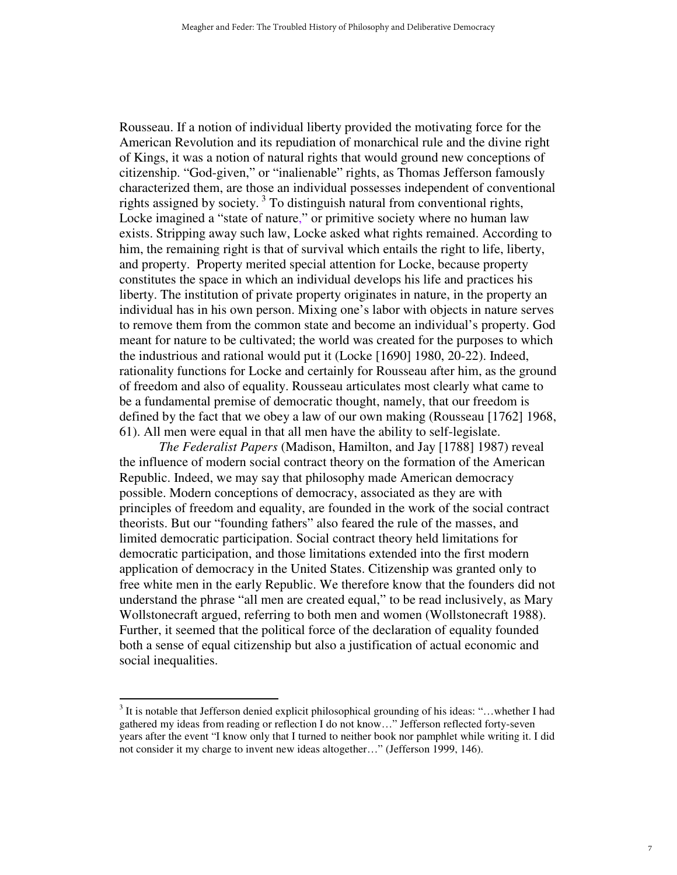Rousseau. If a notion of individual liberty provided the motivating force for the American Revolution and its repudiation of monarchical rule and the divine right of Kings, it was a notion of natural rights that would ground new conceptions of citizenship. "God-given," or "inalienable" rights, as Thomas Jefferson famously characterized them, are those an individual possesses independent of conventional rights assigned by society.<sup>3</sup> To distinguish natural from conventional rights, Locke imagined a "state of nature," or primitive society where no human law exists. Stripping away such law, Locke asked what rights remained. According to him, the remaining right is that of survival which entails the right to life, liberty, and property. Property merited special attention for Locke, because property constitutes the space in which an individual develops his life and practices his liberty. The institution of private property originates in nature, in the property an individual has in his own person. Mixing one's labor with objects in nature serves to remove them from the common state and become an individual's property. God meant for nature to be cultivated; the world was created for the purposes to which the industrious and rational would put it (Locke [1690] 1980, 20-22). Indeed, rationality functions for Locke and certainly for Rousseau after him, as the ground of freedom and also of equality. Rousseau articulates most clearly what came to be a fundamental premise of democratic thought, namely, that our freedom is defined by the fact that we obey a law of our own making (Rousseau [1762] 1968, 61). All men were equal in that all men have the ability to self-legislate.

*The Federalist Papers* (Madison, Hamilton, and Jay [1788] 1987) reveal the influence of modern social contract theory on the formation of the American Republic. Indeed, we may say that philosophy made American democracy possible. Modern conceptions of democracy, associated as they are with principles of freedom and equality, are founded in the work of the social contract theorists. But our "founding fathers" also feared the rule of the masses, and limited democratic participation. Social contract theory held limitations for democratic participation, and those limitations extended into the first modern application of democracy in the United States. Citizenship was granted only to free white men in the early Republic. We therefore know that the founders did not understand the phrase "all men are created equal," to be read inclusively, as Mary Wollstonecraft argued, referring to both men and women (Wollstonecraft 1988). Further, it seemed that the political force of the declaration of equality founded both a sense of equal citizenship but also a justification of actual economic and social inequalities.

 $\overline{a}$ 

 $3$  It is notable that Jefferson denied explicit philosophical grounding of his ideas: "...whether I had gathered my ideas from reading or reflection I do not know…" Jefferson reflected forty-seven years after the event "I know only that I turned to neither book nor pamphlet while writing it. I did not consider it my charge to invent new ideas altogether…" (Jefferson 1999, 146).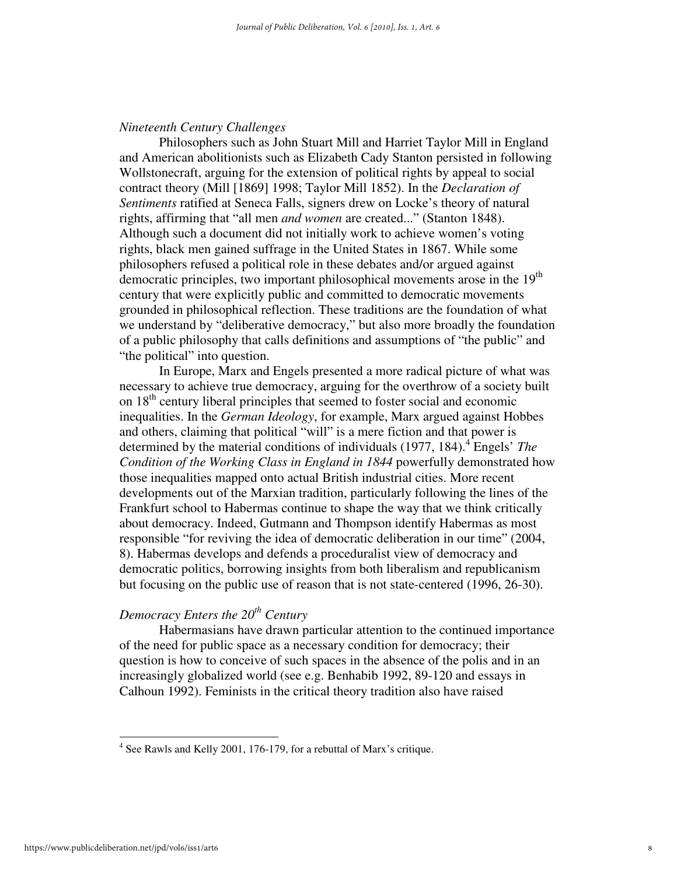#### *Nineteenth Century Challenges*

Philosophers such as John Stuart Mill and Harriet Taylor Mill in England and American abolitionists such as Elizabeth Cady Stanton persisted in following Wollstonecraft, arguing for the extension of political rights by appeal to social contract theory (Mill [1869] 1998; Taylor Mill 1852). In the *Declaration of Sentiments* ratified at Seneca Falls, signers drew on Locke's theory of natural rights, affirming that "all men *and women* are created..." (Stanton 1848). Although such a document did not initially work to achieve women's voting rights, black men gained suffrage in the United States in 1867. While some philosophers refused a political role in these debates and/or argued against democratic principles, two important philosophical movements arose in the 19<sup>th</sup> century that were explicitly public and committed to democratic movements grounded in philosophical reflection. These traditions are the foundation of what we understand by "deliberative democracy," but also more broadly the foundation of a public philosophy that calls definitions and assumptions of "the public" and "the political" into question.

In Europe, Marx and Engels presented a more radical picture of what was necessary to achieve true democracy, arguing for the overthrow of a society built on  $18<sup>th</sup>$  century liberal principles that seemed to foster social and economic inequalities. In the *German Ideology*, for example, Marx argued against Hobbes and others, claiming that political "will" is a mere fiction and that power is determined by the material conditions of individuals (1977, 184).<sup>4</sup> Engels' *The Condition of the Working Class in England in 1844* powerfully demonstrated how those inequalities mapped onto actual British industrial cities. More recent developments out of the Marxian tradition, particularly following the lines of the Frankfurt school to Habermas continue to shape the way that we think critically about democracy. Indeed, Gutmann and Thompson identify Habermas as most responsible "for reviving the idea of democratic deliberation in our time" (2004, 8). Habermas develops and defends a proceduralist view of democracy and democratic politics, borrowing insights from both liberalism and republicanism but focusing on the public use of reason that is not state-centered (1996, 26-30).

#### *Democracy Enters the 20th Century*

Habermasians have drawn particular attention to the continued importance of the need for public space as a necessary condition for democracy; their question is how to conceive of such spaces in the absence of the polis and in an increasingly globalized world (see e.g. Benhabib 1992, 89-120 and essays in Calhoun 1992). Feminists in the critical theory tradition also have raised

 $\overline{a}$ 

<sup>&</sup>lt;sup>4</sup> See Rawls and Kelly 2001, 176-179, for a rebuttal of Marx's critique.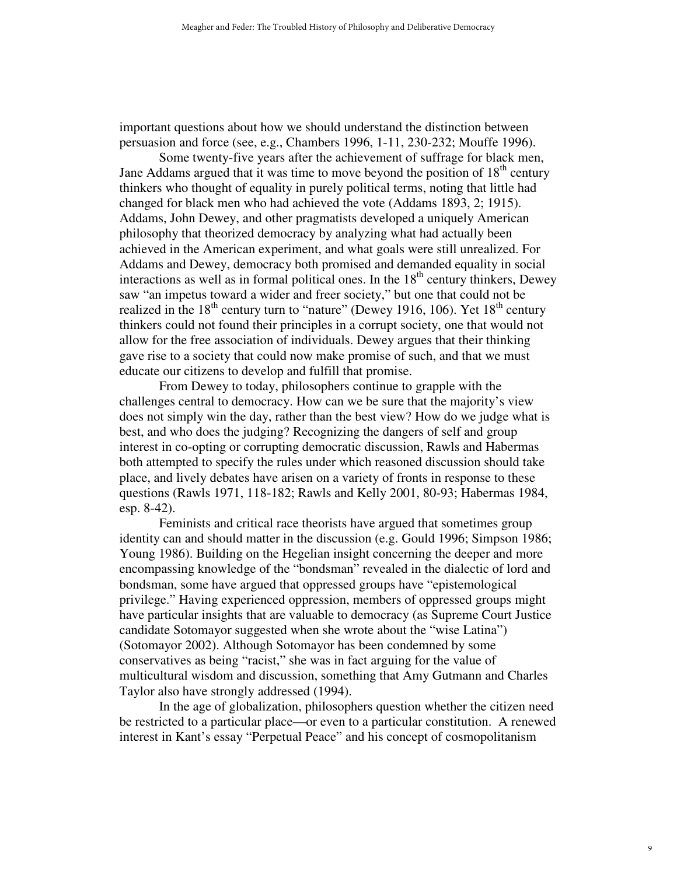important questions about how we should understand the distinction between persuasion and force (see, e.g., Chambers 1996, 1-11, 230-232; Mouffe 1996).

Some twenty-five years after the achievement of suffrage for black men, Jane Addams argued that it was time to move beyond the position of  $18<sup>th</sup>$  century thinkers who thought of equality in purely political terms, noting that little had changed for black men who had achieved the vote (Addams 1893, 2; 1915). Addams, John Dewey, and other pragmatists developed a uniquely American philosophy that theorized democracy by analyzing what had actually been achieved in the American experiment, and what goals were still unrealized. For Addams and Dewey, democracy both promised and demanded equality in social interactions as well as in formal political ones. In the  $18<sup>th</sup>$  century thinkers, Dewey saw "an impetus toward a wider and freer society," but one that could not be realized in the  $18<sup>th</sup>$  century turn to "nature" (Dewey 1916, 106). Yet  $18<sup>th</sup>$  century thinkers could not found their principles in a corrupt society, one that would not allow for the free association of individuals. Dewey argues that their thinking gave rise to a society that could now make promise of such, and that we must educate our citizens to develop and fulfill that promise.

From Dewey to today, philosophers continue to grapple with the challenges central to democracy. How can we be sure that the majority's view does not simply win the day, rather than the best view? How do we judge what is best, and who does the judging? Recognizing the dangers of self and group interest in co-opting or corrupting democratic discussion, Rawls and Habermas both attempted to specify the rules under which reasoned discussion should take place, and lively debates have arisen on a variety of fronts in response to these questions (Rawls 1971, 118-182; Rawls and Kelly 2001, 80-93; Habermas 1984, esp. 8-42).

Feminists and critical race theorists have argued that sometimes group identity can and should matter in the discussion (e.g. Gould 1996; Simpson 1986; Young 1986). Building on the Hegelian insight concerning the deeper and more encompassing knowledge of the "bondsman" revealed in the dialectic of lord and bondsman, some have argued that oppressed groups have "epistemological privilege." Having experienced oppression, members of oppressed groups might have particular insights that are valuable to democracy (as Supreme Court Justice candidate Sotomayor suggested when she wrote about the "wise Latina") (Sotomayor 2002). Although Sotomayor has been condemned by some conservatives as being "racist," she was in fact arguing for the value of multicultural wisdom and discussion, something that Amy Gutmann and Charles Taylor also have strongly addressed (1994).

In the age of globalization, philosophers question whether the citizen need be restricted to a particular place—or even to a particular constitution. A renewed interest in Kant's essay "Perpetual Peace" and his concept of cosmopolitanism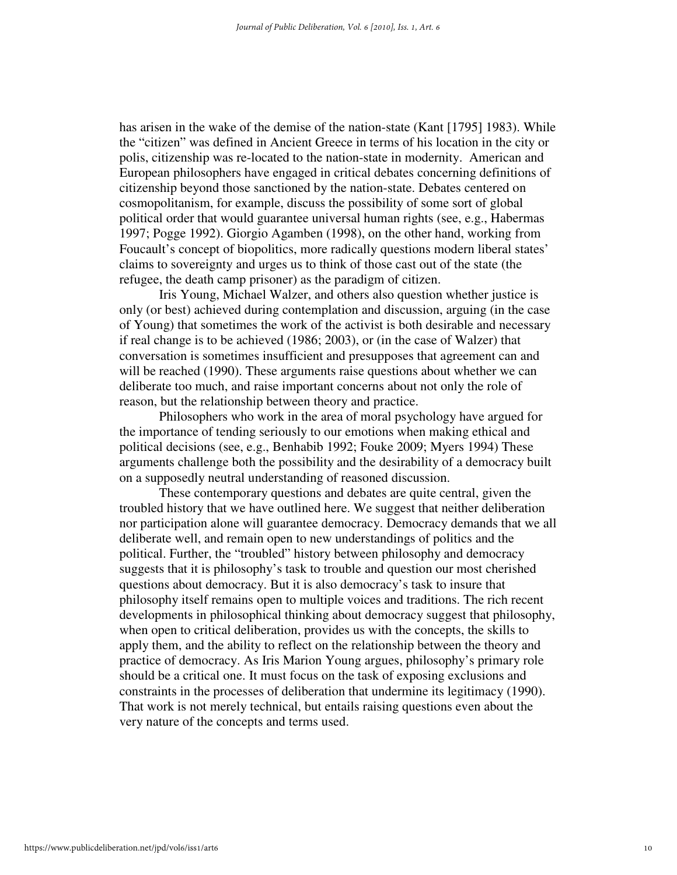has arisen in the wake of the demise of the nation-state (Kant [1795] 1983). While the "citizen" was defined in Ancient Greece in terms of his location in the city or polis, citizenship was re-located to the nation-state in modernity. American and European philosophers have engaged in critical debates concerning definitions of citizenship beyond those sanctioned by the nation-state. Debates centered on cosmopolitanism, for example, discuss the possibility of some sort of global political order that would guarantee universal human rights (see, e.g., Habermas 1997; Pogge 1992). Giorgio Agamben (1998), on the other hand, working from Foucault's concept of biopolitics, more radically questions modern liberal states' claims to sovereignty and urges us to think of those cast out of the state (the refugee, the death camp prisoner) as the paradigm of citizen.

Iris Young, Michael Walzer, and others also question whether justice is only (or best) achieved during contemplation and discussion, arguing (in the case of Young) that sometimes the work of the activist is both desirable and necessary if real change is to be achieved (1986; 2003), or (in the case of Walzer) that conversation is sometimes insufficient and presupposes that agreement can and will be reached (1990). These arguments raise questions about whether we can deliberate too much, and raise important concerns about not only the role of reason, but the relationship between theory and practice.

Philosophers who work in the area of moral psychology have argued for the importance of tending seriously to our emotions when making ethical and political decisions (see, e.g., Benhabib 1992; Fouke 2009; Myers 1994) These arguments challenge both the possibility and the desirability of a democracy built on a supposedly neutral understanding of reasoned discussion.

These contemporary questions and debates are quite central, given the troubled history that we have outlined here. We suggest that neither deliberation nor participation alone will guarantee democracy. Democracy demands that we all deliberate well, and remain open to new understandings of politics and the political. Further, the "troubled" history between philosophy and democracy suggests that it is philosophy's task to trouble and question our most cherished questions about democracy. But it is also democracy's task to insure that philosophy itself remains open to multiple voices and traditions. The rich recent developments in philosophical thinking about democracy suggest that philosophy, when open to critical deliberation, provides us with the concepts, the skills to apply them, and the ability to reflect on the relationship between the theory and practice of democracy. As Iris Marion Young argues, philosophy's primary role should be a critical one. It must focus on the task of exposing exclusions and constraints in the processes of deliberation that undermine its legitimacy (1990). That work is not merely technical, but entails raising questions even about the very nature of the concepts and terms used.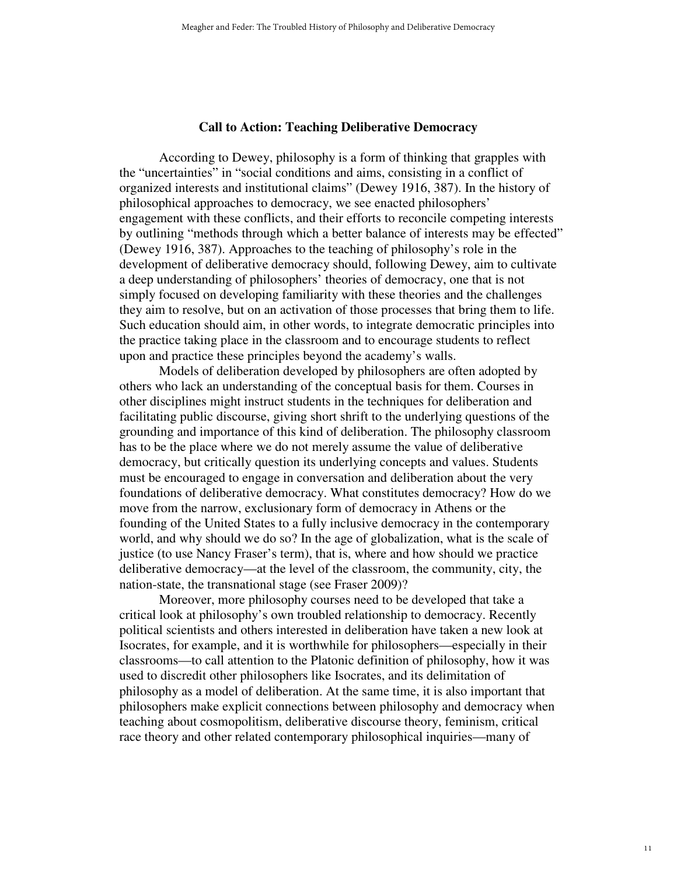#### **Call to Action: Teaching Deliberative Democracy**

 According to Dewey, philosophy is a form of thinking that grapples with the "uncertainties" in "social conditions and aims, consisting in a conflict of organized interests and institutional claims" (Dewey 1916, 387). In the history of philosophical approaches to democracy, we see enacted philosophers' engagement with these conflicts, and their efforts to reconcile competing interests by outlining "methods through which a better balance of interests may be effected" (Dewey 1916, 387). Approaches to the teaching of philosophy's role in the development of deliberative democracy should, following Dewey, aim to cultivate a deep understanding of philosophers' theories of democracy, one that is not simply focused on developing familiarity with these theories and the challenges they aim to resolve, but on an activation of those processes that bring them to life. Such education should aim, in other words, to integrate democratic principles into the practice taking place in the classroom and to encourage students to reflect upon and practice these principles beyond the academy's walls.

Models of deliberation developed by philosophers are often adopted by others who lack an understanding of the conceptual basis for them. Courses in other disciplines might instruct students in the techniques for deliberation and facilitating public discourse, giving short shrift to the underlying questions of the grounding and importance of this kind of deliberation. The philosophy classroom has to be the place where we do not merely assume the value of deliberative democracy, but critically question its underlying concepts and values. Students must be encouraged to engage in conversation and deliberation about the very foundations of deliberative democracy. What constitutes democracy? How do we move from the narrow, exclusionary form of democracy in Athens or the founding of the United States to a fully inclusive democracy in the contemporary world, and why should we do so? In the age of globalization, what is the scale of justice (to use Nancy Fraser's term), that is, where and how should we practice deliberative democracy—at the level of the classroom, the community, city, the nation-state, the transnational stage (see Fraser 2009)?

Moreover, more philosophy courses need to be developed that take a critical look at philosophy's own troubled relationship to democracy. Recently political scientists and others interested in deliberation have taken a new look at Isocrates, for example, and it is worthwhile for philosophers—especially in their classrooms—to call attention to the Platonic definition of philosophy, how it was used to discredit other philosophers like Isocrates, and its delimitation of philosophy as a model of deliberation. At the same time, it is also important that philosophers make explicit connections between philosophy and democracy when teaching about cosmopolitism, deliberative discourse theory, feminism, critical race theory and other related contemporary philosophical inquiries—many of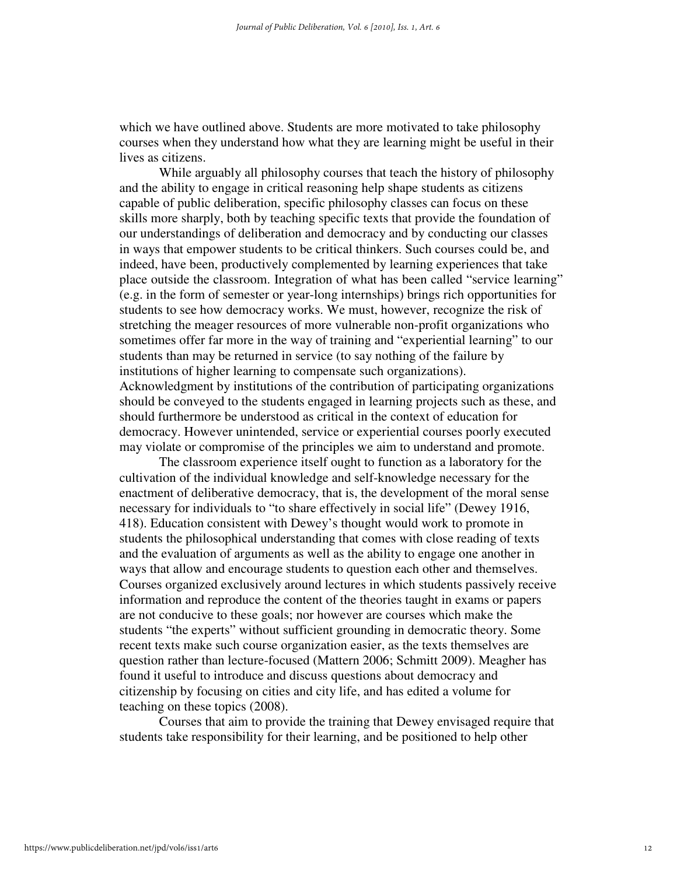which we have outlined above. Students are more motivated to take philosophy courses when they understand how what they are learning might be useful in their lives as citizens.

While arguably all philosophy courses that teach the history of philosophy and the ability to engage in critical reasoning help shape students as citizens capable of public deliberation, specific philosophy classes can focus on these skills more sharply, both by teaching specific texts that provide the foundation of our understandings of deliberation and democracy and by conducting our classes in ways that empower students to be critical thinkers. Such courses could be, and indeed, have been, productively complemented by learning experiences that take place outside the classroom. Integration of what has been called "service learning" (e.g. in the form of semester or year-long internships) brings rich opportunities for students to see how democracy works. We must, however, recognize the risk of stretching the meager resources of more vulnerable non-profit organizations who sometimes offer far more in the way of training and "experiential learning" to our students than may be returned in service (to say nothing of the failure by institutions of higher learning to compensate such organizations). Acknowledgment by institutions of the contribution of participating organizations should be conveyed to the students engaged in learning projects such as these, and should furthermore be understood as critical in the context of education for democracy. However unintended, service or experiential courses poorly executed may violate or compromise of the principles we aim to understand and promote.

The classroom experience itself ought to function as a laboratory for the cultivation of the individual knowledge and self-knowledge necessary for the enactment of deliberative democracy, that is, the development of the moral sense necessary for individuals to "to share effectively in social life" (Dewey 1916, 418). Education consistent with Dewey's thought would work to promote in students the philosophical understanding that comes with close reading of texts and the evaluation of arguments as well as the ability to engage one another in ways that allow and encourage students to question each other and themselves. Courses organized exclusively around lectures in which students passively receive information and reproduce the content of the theories taught in exams or papers are not conducive to these goals; nor however are courses which make the students "the experts" without sufficient grounding in democratic theory. Some recent texts make such course organization easier, as the texts themselves are question rather than lecture-focused (Mattern 2006; Schmitt 2009). Meagher has found it useful to introduce and discuss questions about democracy and citizenship by focusing on cities and city life, and has edited a volume for teaching on these topics (2008).

Courses that aim to provide the training that Dewey envisaged require that students take responsibility for their learning, and be positioned to help other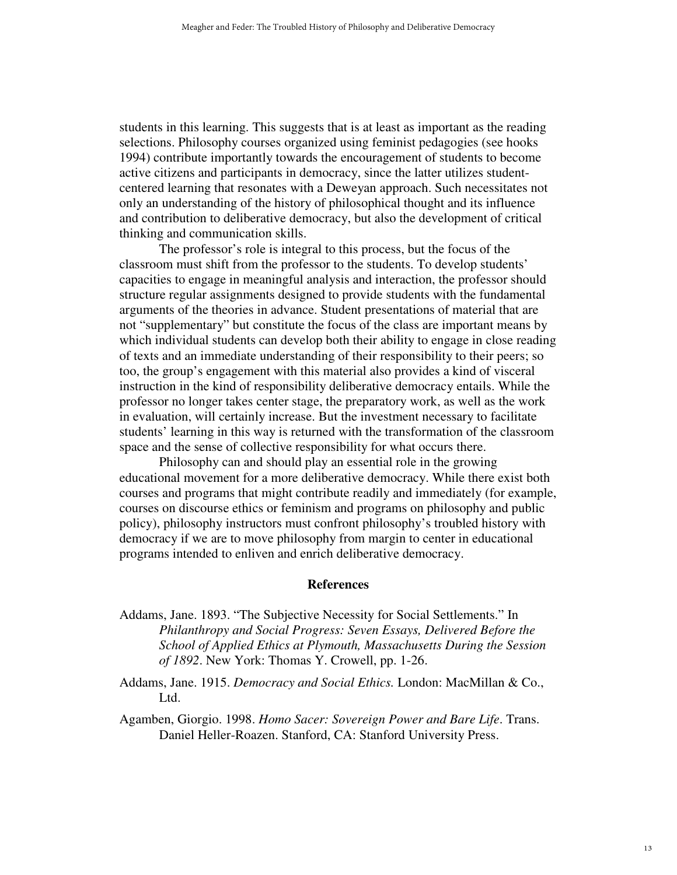students in this learning. This suggests that is at least as important as the reading selections. Philosophy courses organized using feminist pedagogies (see hooks 1994) contribute importantly towards the encouragement of students to become active citizens and participants in democracy, since the latter utilizes studentcentered learning that resonates with a Deweyan approach. Such necessitates not only an understanding of the history of philosophical thought and its influence and contribution to deliberative democracy, but also the development of critical thinking and communication skills.

The professor's role is integral to this process, but the focus of the classroom must shift from the professor to the students. To develop students' capacities to engage in meaningful analysis and interaction, the professor should structure regular assignments designed to provide students with the fundamental arguments of the theories in advance. Student presentations of material that are not "supplementary" but constitute the focus of the class are important means by which individual students can develop both their ability to engage in close reading of texts and an immediate understanding of their responsibility to their peers; so too, the group's engagement with this material also provides a kind of visceral instruction in the kind of responsibility deliberative democracy entails. While the professor no longer takes center stage, the preparatory work, as well as the work in evaluation, will certainly increase. But the investment necessary to facilitate students' learning in this way is returned with the transformation of the classroom space and the sense of collective responsibility for what occurs there.

Philosophy can and should play an essential role in the growing educational movement for a more deliberative democracy. While there exist both courses and programs that might contribute readily and immediately (for example, courses on discourse ethics or feminism and programs on philosophy and public policy), philosophy instructors must confront philosophy's troubled history with democracy if we are to move philosophy from margin to center in educational programs intended to enliven and enrich deliberative democracy.

#### **References**

- Addams, Jane. 1893. "The Subjective Necessity for Social Settlements." In *Philanthropy and Social Progress: Seven Essays, Delivered Before the School of Applied Ethics at Plymouth, Massachusetts During the Session of 1892*. New York: Thomas Y. Crowell, pp. 1-26.
- Addams, Jane. 1915. *Democracy and Social Ethics.* London: MacMillan & Co., Ltd.

Agamben, Giorgio. 1998. *Homo Sacer: Sovereign Power and Bare Life*. Trans. Daniel Heller-Roazen. Stanford, CA: Stanford University Press.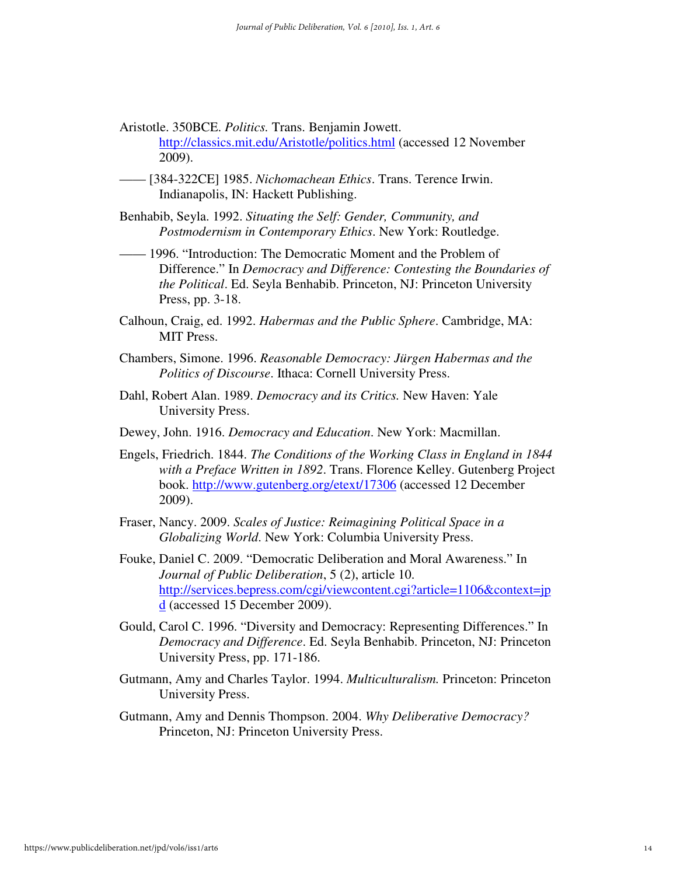Aristotle. 350BCE. *Politics.* Trans. Benjamin Jowett.

http://classics.mit.edu/Aristotle/politics.html (accessed 12 November 2009).

- —— [384-322CE] 1985. *Nichomachean Ethics*. Trans. Terence Irwin. Indianapolis, IN: Hackett Publishing.
- Benhabib, Seyla. 1992. *Situating the Self: Gender, Community, and Postmodernism in Contemporary Ethics*. New York: Routledge.
- —— 1996. "Introduction: The Democratic Moment and the Problem of Difference." In *Democracy and Difference: Contesting the Boundaries of the Political*. Ed. Seyla Benhabib. Princeton, NJ: Princeton University Press, pp. 3-18.
- Calhoun, Craig, ed. 1992. *Habermas and the Public Sphere*. Cambridge, MA: MIT Press.
- Chambers, Simone. 1996. *Reasonable Democracy: Jürgen Habermas and the Politics of Discourse*. Ithaca: Cornell University Press.
- Dahl, Robert Alan. 1989. *Democracy and its Critics.* New Haven: Yale University Press.
- Dewey, John. 1916. *Democracy and Education*. New York: Macmillan.
- Engels, Friedrich. 1844. *The Conditions of the Working Class in England in 1844 with a Preface Written in 1892*. Trans. Florence Kelley. Gutenberg Project book. http://www.gutenberg.org/etext/17306 (accessed 12 December 2009).
- Fraser, Nancy. 2009. *Scales of Justice: Reimagining Political Space in a Globalizing World*. New York: Columbia University Press.
- Fouke, Daniel C. 2009. "Democratic Deliberation and Moral Awareness." In *Journal of Public Deliberation*, 5 (2), article 10. http://services.bepress.com/cgi/viewcontent.cgi?article=1106&context=jp d (accessed 15 December 2009).
- Gould, Carol C. 1996. "Diversity and Democracy: Representing Differences." In *Democracy and Difference*. Ed. Seyla Benhabib. Princeton, NJ: Princeton University Press, pp. 171-186.
- Gutmann, Amy and Charles Taylor. 1994. *Multiculturalism.* Princeton: Princeton University Press.
- Gutmann, Amy and Dennis Thompson. 2004. *Why Deliberative Democracy?* Princeton, NJ: Princeton University Press.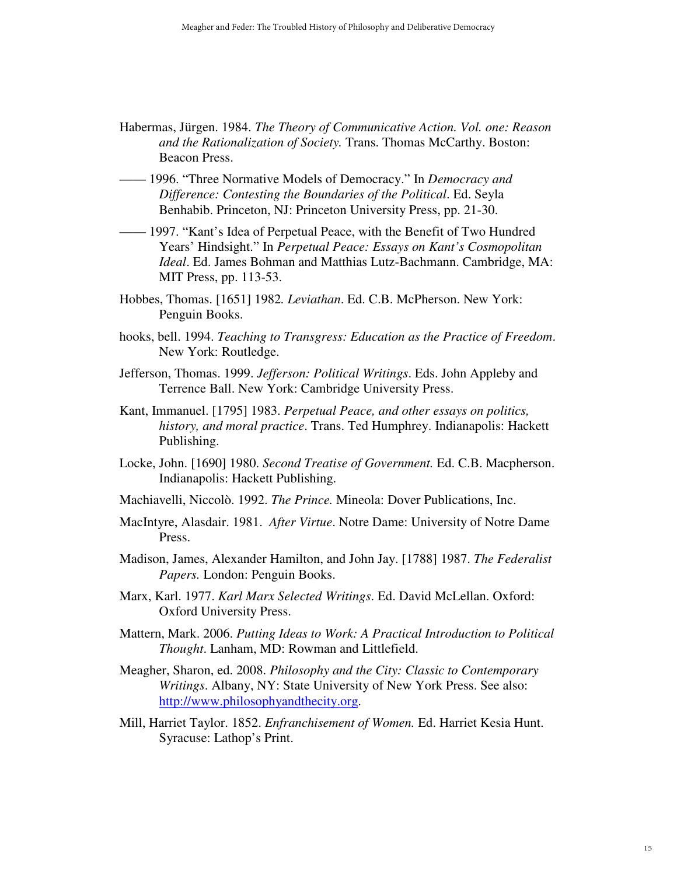- Habermas, Jürgen. 1984. *The Theory of Communicative Action. Vol. one: Reason and the Rationalization of Society.* Trans. Thomas McCarthy. Boston: Beacon Press.
- —— 1996. "Three Normative Models of Democracy." In *Democracy and Difference: Contesting the Boundaries of the Political*. Ed. Seyla Benhabib. Princeton, NJ: Princeton University Press, pp. 21-30.
- —— 1997. "Kant's Idea of Perpetual Peace, with the Benefit of Two Hundred Years' Hindsight." In *Perpetual Peace: Essays on Kant's Cosmopolitan Ideal*. Ed. James Bohman and Matthias Lutz-Bachmann. Cambridge, MA: MIT Press, pp. 113-53.
- Hobbes, Thomas. [1651] 1982*. Leviathan*. Ed. C.B. McPherson. New York: Penguin Books.
- hooks, bell. 1994. *Teaching to Transgress: Education as the Practice of Freedom*. New York: Routledge.
- Jefferson, Thomas. 1999. *Jefferson: Political Writings*. Eds. John Appleby and Terrence Ball. New York: Cambridge University Press.
- Kant, Immanuel. [1795] 1983. *Perpetual Peace, and other essays on politics, history, and moral practice*. Trans. Ted Humphrey. Indianapolis: Hackett Publishing.
- Locke, John. [1690] 1980. *Second Treatise of Government.* Ed. C.B. Macpherson. Indianapolis: Hackett Publishing.
- Machiavelli, Niccolò. 1992. *The Prince.* Mineola: Dover Publications, Inc.
- MacIntyre, Alasdair. 1981. *After Virtue*. Notre Dame: University of Notre Dame Press.
- Madison, James, Alexander Hamilton, and John Jay. [1788] 1987. *The Federalist Papers.* London: Penguin Books.
- Marx, Karl. 1977. *Karl Marx Selected Writings*. Ed. David McLellan. Oxford: Oxford University Press.
- Mattern, Mark. 2006. *Putting Ideas to Work: A Practical Introduction to Political Thought*. Lanham, MD: Rowman and Littlefield.
- Meagher, Sharon, ed. 2008. *Philosophy and the City: Classic to Contemporary Writings*. Albany, NY: State University of New York Press. See also: http://www.philosophyandthecity.org.
- Mill, Harriet Taylor. 1852. *Enfranchisement of Women.* Ed. Harriet Kesia Hunt. Syracuse: Lathop's Print.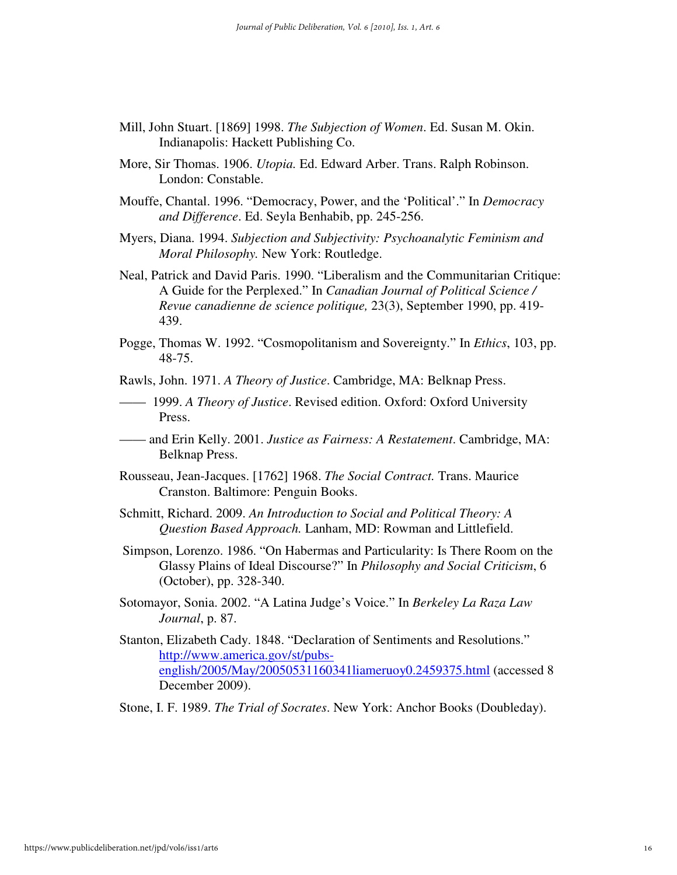- Mill, John Stuart. [1869] 1998. *The Subjection of Women*. Ed. Susan M. Okin. Indianapolis: Hackett Publishing Co.
- More, Sir Thomas. 1906. *Utopia.* Ed. Edward Arber. Trans. Ralph Robinson. London: Constable.
- Mouffe, Chantal. 1996. "Democracy, Power, and the 'Political'." In *Democracy and Difference*. Ed. Seyla Benhabib, pp. 245-256.
- Myers, Diana. 1994. *Subjection and Subjectivity: Psychoanalytic Feminism and Moral Philosophy.* New York: Routledge.
- Neal, Patrick and David Paris. 1990. "Liberalism and the Communitarian Critique: A Guide for the Perplexed." In *Canadian Journal of Political Science / Revue canadienne de science politique,* 23(3), September 1990, pp. 419- 439.
- Pogge, Thomas W. 1992. "Cosmopolitanism and Sovereignty." In *Ethics*, 103, pp. 48-75.

Rawls, John. 1971. *A Theory of Justice*. Cambridge, MA: Belknap Press.

- —— 1999. *A Theory of Justice*. Revised edition. Oxford: Oxford University Press.
- —— and Erin Kelly. 2001. *Justice as Fairness: A Restatement*. Cambridge, MA: Belknap Press.
- Rousseau, Jean-Jacques. [1762] 1968. *The Social Contract.* Trans. Maurice Cranston. Baltimore: Penguin Books.
- Schmitt, Richard. 2009. *An Introduction to Social and Political Theory: A Question Based Approach.* Lanham, MD: Rowman and Littlefield.
- Simpson, Lorenzo. 1986. "On Habermas and Particularity: Is There Room on the Glassy Plains of Ideal Discourse?" In *Philosophy and Social Criticism*, 6 (October), pp. 328-340.
- Sotomayor, Sonia. 2002. "A Latina Judge's Voice." In *Berkeley La Raza Law Journal*, p. 87.
- Stanton, Elizabeth Cady. 1848. "Declaration of Sentiments and Resolutions." http://www.america.gov/st/pubsenglish/2005/May/20050531160341liameruoy0.2459375.html (accessed 8 December 2009).
- Stone, I. F. 1989. *The Trial of Socrates*. New York: Anchor Books (Doubleday).